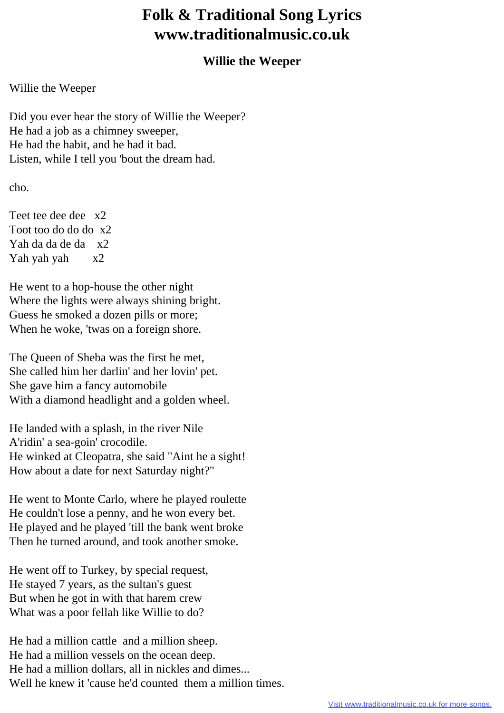## **Folk & Traditional Song Lyrics www.traditionalmusic.co.uk**

## **Willie the Weeper**

Willie the Weeper

Did you ever hear the story of Willie the Weeper? He had a job as a chimney sweeper, He had the habit, and he had it bad. Listen, while I tell you 'bout the dream had.

cho.

Teet tee dee dee x2 Toot too do do do x2 Yah da da de da x2 Yah yah x2

He went to a hop-house the other night Where the lights were always shining bright. Guess he smoked a dozen pills or more; When he woke, 'twas on a foreign shore.

The Queen of Sheba was the first he met, She called him her darlin' and her lovin' pet. She gave him a fancy automobile With a diamond headlight and a golden wheel.

He landed with a splash, in the river Nile A'ridin' a sea-goin' crocodile. He winked at Cleopatra, she said "Aint he a sight! How about a date for next Saturday night?"

He went to Monte Carlo, where he played roulette He couldn't lose a penny, and he won every bet. He played and he played 'till the bank went broke Then he turned around, and took another smoke.

He went off to Turkey, by special request, He stayed 7 years, as the sultan's guest But when he got in with that harem crew What was a poor fellah like Willie to do?

He had a million cattle and a million sheep. He had a million vessels on the ocean deep. He had a million dollars, all in nickles and dimes... Well he knew it 'cause he'd counted them a million times.